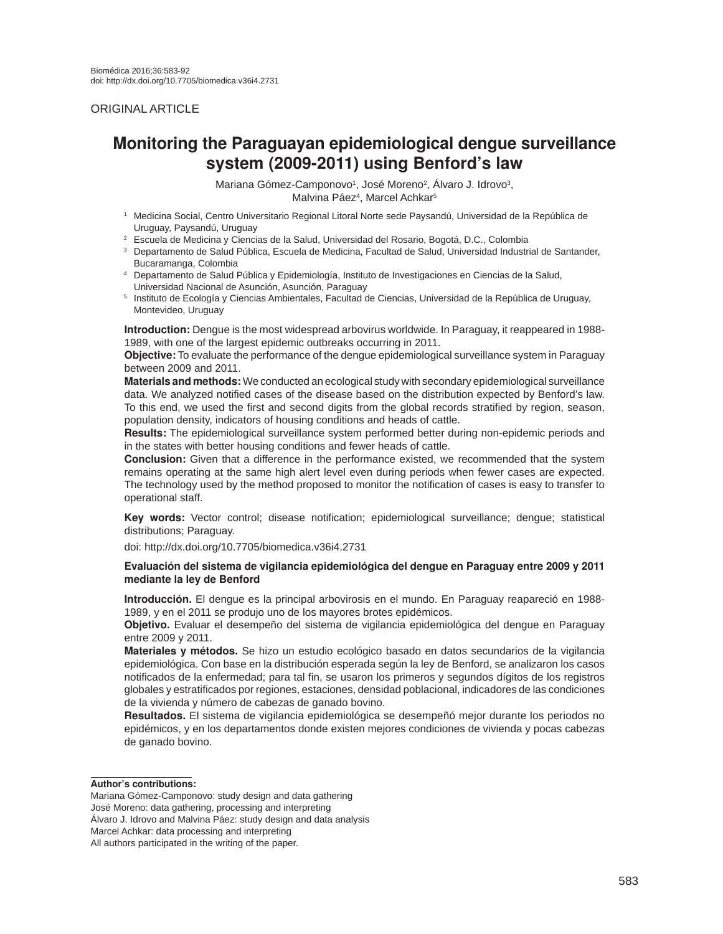## ORIGINAL ARTICLE

# **Monitoring the Paraguayan epidemiological dengue surveillance system (2009-2011) using Benford's law**

Mariana Gómez-Camponovo<sup>1</sup>, José Moreno<sup>2</sup>, Alvaro J. Idrovo<sup>3</sup>, Malvina Páez<sup>4</sup>, Marcel Achkar<sup>5</sup>

- <sup>1</sup> Medicina Social, Centro Universitario Regional Litoral Norte sede Paysandú, Universidad de la República de<br>Uruguay, Paysandú, Uruguay
- <sup>2</sup> Escuela de Medicina y Ciencias de la Salud, Universidad del Rosario, Bogotá, D.C., Colombia
- <sup>3</sup>Departamento de Salud Pública, Escuela de Medicina, Facultad de Salud, Universidad Industrial de Santander, Bucaramanga, Colombia
- <sup>4</sup>Departamento de Salud Pública y Epidemiología, Instituto de Investigaciones en Ciencias de la Salud, Universidad Nacional de Asunción, Asunción, Paraguay
- <sup>5</sup>Instituto de Ecología y Ciencias Ambientales, Facultad de Ciencias, Universidad de la República de Uruguay, Montevideo, Uruguay

**Introduction:** Dengue is the most widespread arbovirus worldwide. In Paraguay, it reappeared in 1988- 1989, with one of the largest epidemic outbreaks occurring in 2011.

**Objective:** To evaluate the performance of the dengue epidemiological surveillance system in Paraguay between 2009 and 2011.

**Materials and methods:** We conducted an ecological study with secondary epidemiological surveillance data. We analyzed notified cases of the disease based on the distribution expected by Benford's law. To this end, we used the first and second digits from the global records stratified by region, season, population density, indicators of housing conditions and heads of cattle.

**Results:** The epidemiological surveillance system performed better during non-epidemic periods and in the states with better housing conditions and fewer heads of cattle.

**Conclusion:** Given that a difference in the performance existed, we recommended that the system remains operating at the same high alert level even during periods when fewer cases are expected. The technology used by the method proposed to monitor the notification of cases is easy to transfer to operational staff.

**Key words:** Vector control; disease notification; epidemiological surveillance; dengue; statistical distributions; Paraguay.

doi: http://dx.doi.org/10.7705/biomedica.v36i4.2731

## **Evaluación del sistema de vigilancia epidemiológica del dengue en Paraguay entre 2009 y 2011 mediante la ley de Benford**

**Introducción.** El dengue es la principal arbovirosis en el mundo. En Paraguay reapareció en 1988- 1989, y en el 2011 se produjo uno de los mayores brotes epidémicos.

**Objetivo.** Evaluar el desempeño del sistema de vigilancia epidemiológica del dengue en Paraguay entre 2009 y 2011.

**Materiales y métodos.** Se hizo un estudio ecológico basado en datos secundarios de la vigilancia epidemiológica. Con base en la distribución esperada según la ley de Benford, se analizaron los casos notificados de la enfermedad; para tal fin, se usaron los primeros y segundos dígitos de los registros globales y estratificados por regiones, estaciones, densidad poblacional, indicadores de las condiciones de la vivienda y número de cabezas de ganado bovino.

**Resultados.** El sistema de vigilancia epidemiológica se desempeñó mejor durante los periodos no epidémicos, y en los departamentos donde existen mejores condiciones de vivienda y pocas cabezas de ganado bovino.

**Author's contributions:**

Álvaro J. Idrovo and Malvina Páez: study design and data analysis

Marcel Achkar: data processing and interpreting

Mariana Gómez-Camponovo: study design and data gathering

José Moreno: data gathering, processing and interpreting

All authors participated in the writing of the paper.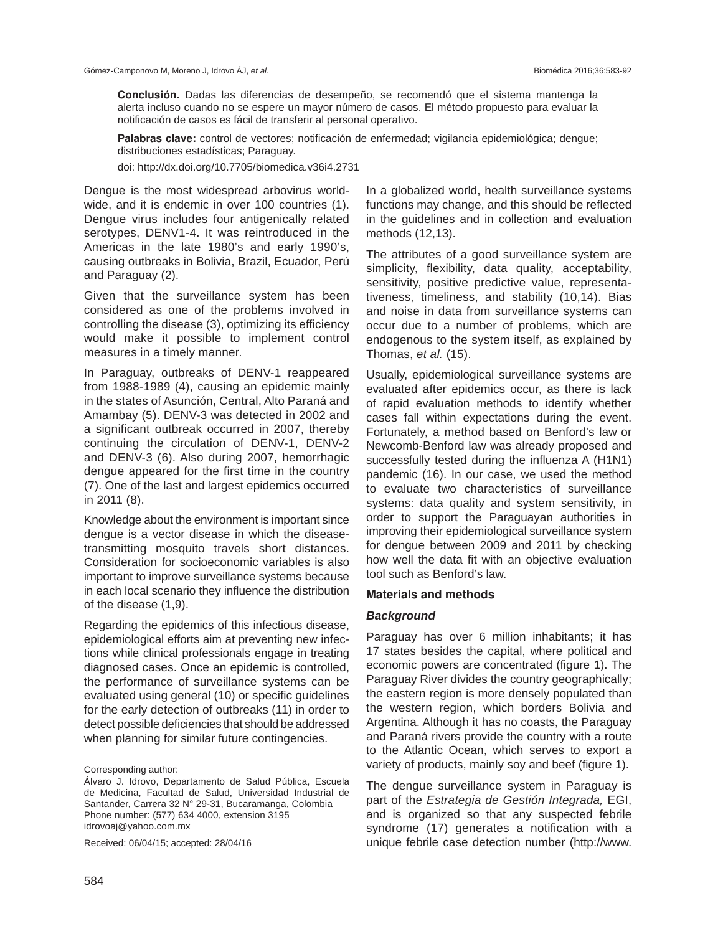**Conclusión.** Dadas las diferencias de desempeño, se recomendó que el sistema mantenga la alerta incluso cuando no se espere un mayor número de casos. El método propuesto para evaluar la notificación de casos es fácil de transferir al personal operativo.

**Palabras clave:** control de vectores; notificación de enfermedad; vigilancia epidemiológica; dengue; distribuciones estadísticas; Paraguay.

doi: http://dx.doi.org/10.7705/biomedica.v36i4.2731

Dengue is the most widespread arbovirus worldwide, and it is endemic in over 100 countries (1). Dengue virus includes four antigenically related serotypes, DENV1-4. It was reintroduced in the Americas in the late 1980's and early 1990's, causing outbreaks in Bolivia, Brazil, Ecuador, Perú and Paraguay (2).

Given that the surveillance system has been considered as one of the problems involved in controlling the disease (3), optimizing its efficiency would make it possible to implement control measures in a timely manner.

In Paraguay, outbreaks of DENV-1 reappeared from 1988-1989 (4), causing an epidemic mainly in the states of Asunción, Central, Alto Paraná and Amambay (5). DENV-3 was detected in 2002 and a significant outbreak occurred in 2007, thereby continuing the circulation of DENV-1, DENV-2 and DENV-3 (6). Also during 2007, hemorrhagic dengue appeared for the first time in the country (7). One of the last and largest epidemics occurred in 2011 (8).

Knowledge about the environment is important since dengue is a vector disease in which the diseasetransmitting mosquito travels short distances. Consideration for socioeconomic variables is also important to improve surveillance systems because in each local scenario they influence the distribution of the disease (1,9).

Regarding the epidemics of this infectious disease, epidemiological efforts aim at preventing new infections while clinical professionals engage in treating diagnosed cases. Once an epidemic is controlled, the performance of surveillance systems can be evaluated using general (10) or specific guidelines for the early detection of outbreaks (11) in order to detect possible deficiencies that should be addressed when planning for similar future contingencies.

Corresponding author:

Received: 06/04/15; accepted: 28/04/16

In a globalized world, health surveillance systems functions may change, and this should be reflected in the guidelines and in collection and evaluation methods (12,13).

The attributes of a good surveillance system are simplicity, flexibility, data quality, acceptability, sensitivity, positive predictive value, representativeness, timeliness, and stability (10,14). Bias and noise in data from surveillance systems can occur due to a number of problems, which are endogenous to the system itself, as explained by Thomas, *et al.* (15).

Usually, epidemiological surveillance systems are evaluated after epidemics occur, as there is lack of rapid evaluation methods to identify whether cases fall within expectations during the event. Fortunately, a method based on Benford's law or Newcomb-Benford law was already proposed and successfully tested during the influenza A (H1N1) pandemic (16). In our case, we used the method to evaluate two characteristics of surveillance systems: data quality and system sensitivity, in order to support the Paraguayan authorities in improving their epidemiological surveillance system for dengue between 2009 and 2011 by checking how well the data fit with an objective evaluation tool such as Benford's law.

## **Materials and methods**

## *Background*

Paraguay has over 6 million inhabitants; it has 17 states besides the capital, where political and economic powers are concentrated (figure 1). The Paraguay River divides the country geographically; the eastern region is more densely populated than the western region, which borders Bolivia and Argentina. Although it has no coasts, the Paraguay and Paraná rivers provide the country with a route to the Atlantic Ocean, which serves to export a variety of products, mainly soy and beef (figure 1).

The dengue surveillance system in Paraguay is part of the *Estrategia de Gestión Integrada,* EGI, and is organized so that any suspected febrile syndrome (17) generates a notification with a unique febrile case detection number (http://www.

Álvaro J. Idrovo, Departamento de Salud Pública, Escuela de Medicina, Facultad de Salud, Universidad Industrial de Santander, Carrera 32 N° 29-31, Bucaramanga, Colombia Phone number: (577) 634 4000, extension 3195 idrovoaj@yahoo.com.mx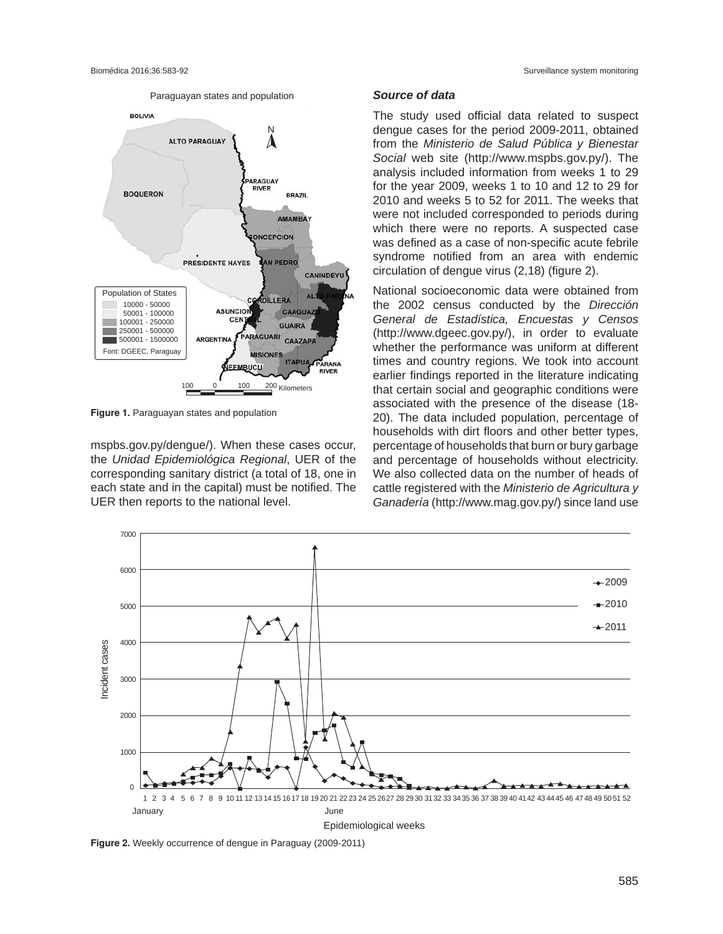

**Figure 1.** Paraguayan states and population

mspbs.gov.py/dengue/). When these cases occur, the *Unidad Epidemiológica Regional*, UER of the corresponding sanitary district (a total of 18, one in each state and in the capital) must be notified. The UER then reports to the national level.

## *Source of data*

The study used official data related to suspect dengue cases for the period 2009-2011, obtained from the *Ministerio de Salud Pública y Bienestar Social* web site (http://www.mspbs.gov.py/). The analysis included information from weeks 1 to 29 for the year 2009, weeks 1 to 10 and 12 to 29 for 2010 and weeks 5 to 52 for 2011. The weeks that were not included corresponded to periods during which there were no reports. A suspected case was defined as a case of non-specific acute febrile syndrome notified from an area with endemic circulation of dengue virus (2,18) (figure 2).

National socioeconomic data were obtained from the 2002 census conducted by the *Dirección General de Estadística, Encuestas y Censos*  (http://www.dgeec.gov.py/), in order to evaluate whether the performance was uniform at different times and country regions. We took into account earlier findings reported in the literature indicating that certain social and geographic conditions were associated with the presence of the disease (18- 20). The data included population, percentage of households with dirt floors and other better types, percentage of households that burn or bury garbage and percentage of households without electricity. We also collected data on the number of heads of cattle registered with the *Ministerio de Agricultura y Ganadería* (http://www.mag.gov.py/) since land use



**Figure 2.** Weekly occurrence of dengue in Paraguay (2009-2011)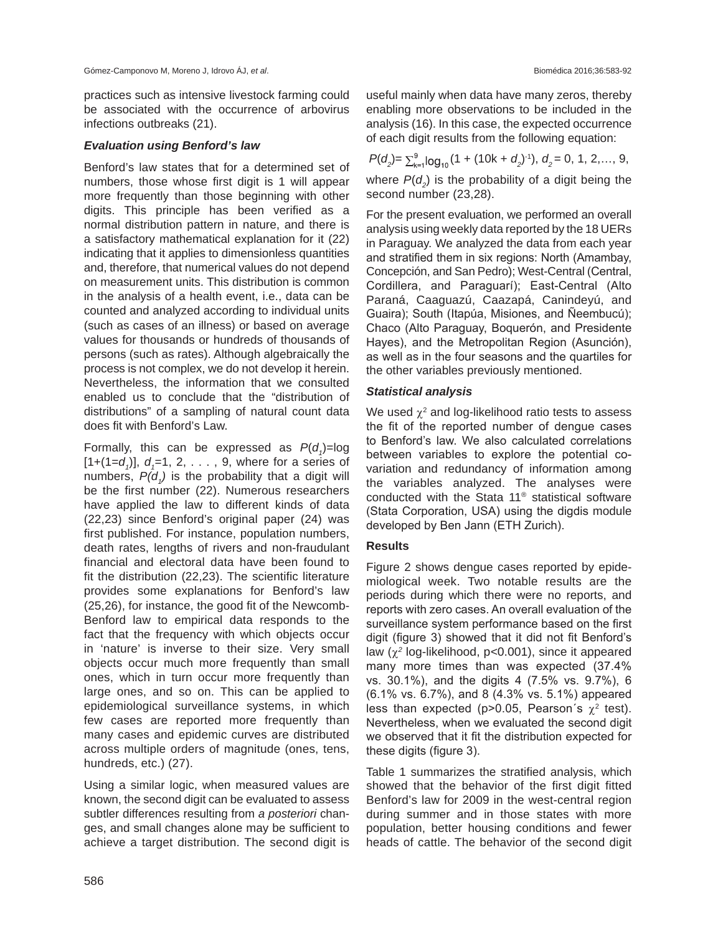practices such as intensive livestock farming could be associated with the occurrence of arbovirus infections outbreaks (21).

### *Evaluation using Benford's law*

Benford's law states that for a determined set of numbers, those whose first digit is 1 will appear more frequently than those beginning with other digits. This principle has been verified as a normal distribution pattern in nature, and there is a satisfactory mathematical explanation for it (22) indicating that it applies to dimensionless quantities and, therefore, that numerical values do not depend on measurement units. This distribution is common in the analysis of a health event, i.e., data can be counted and analyzed according to individual units (such as cases of an illness) or based on average values for thousands or hundreds of thousands of persons (such as rates). Although algebraically the process is not complex, we do not develop it herein. Nevertheless, the information that we consulted enabled us to conclude that the "distribution of distributions" of a sampling of natural count data does fit with Benford's Law.

Formally, this can be expressed as  $P(d_1)$ =log  $[1+(1=d_1)], d_1=1, 2, \ldots, 9$ , where for a series of numbers,  $P(d_1)$  is the probability that a digit will be the first number (22). Numerous researchers have applied the law to different kinds of data (22,23) since Benford's original paper (24) was first published. For instance, population numbers, death rates, lengths of rivers and non-fraudulant financial and electoral data have been found to fit the distribution (22,23). The scientific literature provides some explanations for Benford's law (25,26), for instance, the good fit of the Newcomb-Benford law to empirical data responds to the fact that the frequency with which objects occur in 'nature' is inverse to their size. Very small objects occur much more frequently than small ones, which in turn occur more frequently than large ones, and so on. This can be applied to epidemiological surveillance systems, in which few cases are reported more frequently than many cases and epidemic curves are distributed across multiple orders of magnitude (ones, tens, hundreds, etc.) (27).

Using a similar logic, when measured values are known, the second digit can be evaluated to assess subtler differences resulting from *a posteriori* changes, and small changes alone may be sufficient to achieve a target distribution. The second digit is

useful mainly when data have many zeros, thereby enabling more observations to be included in the analysis (16). In this case, the expected occurrence of each digit results from the following equation:

$$
P(d_2) = \sum_{k=1}^{9} \log_{10} (1 + (10k + d_2)^{-1}), d_2 = 0, 1, 2, ..., 9,
$$

where  $P(d_2)$  is the probability of a digit being the second number (23,28).

For the present evaluation, we performed an overall analysis using weekly data reported by the 18 UERs in Paraguay. We analyzed the data from each year and stratified them in six regions: North (Amambay, Concepción, and San Pedro); West-Central (Central, Cordillera, and Paraguarí); East-Central (Alto Paraná, Caaguazú, Caazapá, Canindeyú, and Guaira); South (Itapúa, Misiones, and Ñeembucú); Chaco (Alto Paraguay, Boquerón, and Presidente Hayes), and the Metropolitan Region (Asunción), as well as in the four seasons and the quartiles for the other variables previously mentioned.

## *Statistical analysis*

We used  $\chi^2$  and log-likelihood ratio tests to assess the fit of the reported number of dengue cases to Benford's law. We also calculated correlations between variables to explore the potential covariation and redundancy of information among the variables analyzed. The analyses were conducted with the Stata 11® statistical software (Stata Corporation, USA) using the digdis module developed by Ben Jann (ETH Zurich).

## **Results**

Figure 2 shows dengue cases reported by epidemiological week. Two notable results are the periods during which there were no reports, and reports with zero cases. An overall evaluation of the surveillance system performance based on the first digit (figure 3) showed that it did not fit Benford's law (χ*<sup>2</sup>* log-likelihood, p*<*0.001), since it appeared many more times than was expected (37.4% vs. 30.1%), and the digits 4 (7.5% vs. 9.7%), 6 (6.1% vs. 6.7%), and 8 (4.3% vs. 5.1%) appeared less than expected (p>0.05, Pearson's  $\chi^2$  test). Nevertheless, when we evaluated the second digit we observed that it fit the distribution expected for these digits (figure 3).

Table 1 summarizes the stratified analysis, which showed that the behavior of the first digit fitted Benford's law for 2009 in the west-central region during summer and in those states with more population, better housing conditions and fewer heads of cattle. The behavior of the second digit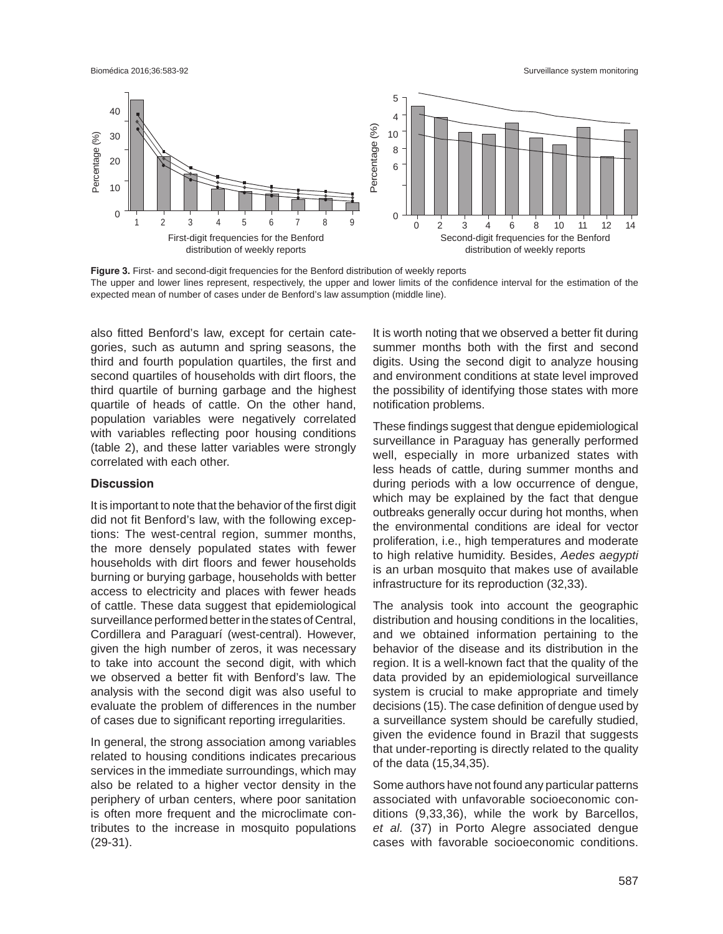Biomédica 2016;36:583-92 Surveillance system monitoring



Figure 3. First- and second-digit frequencies for the Benford distribution of weekly reports The upper and lower lines represent, respectively, the upper and lower limits of the confidence interval for the estimation of the expected mean of number of cases under de Benford's law assumption (middle line).

also fitted Benford's law, except for certain categories, such as autumn and spring seasons, the third and fourth population quartiles, the first and second quartiles of households with dirt floors, the third quartile of burning garbage and the highest quartile of heads of cattle. On the other hand, population variables were negatively correlated with variables reflecting poor housing conditions (table 2), and these latter variables were strongly correlated with each other.

## **Discussion**

It is important to note that the behavior of the first digit did not fit Benford's law, with the following exceptions: The west-central region, summer months, the more densely populated states with fewer households with dirt floors and fewer households burning or burying garbage, households with better access to electricity and places with fewer heads of cattle. These data suggest that epidemiological surveillance performed better in the states of Central, Cordillera and Paraguarí (west-central). However, given the high number of zeros, it was necessary to take into account the second digit, with which we observed a better fit with Benford's law. The analysis with the second digit was also useful to evaluate the problem of differences in the number of cases due to significant reporting irregularities.

In general, the strong association among variables related to housing conditions indicates precarious services in the immediate surroundings, which may also be related to a higher vector density in the periphery of urban centers, where poor sanitation is often more frequent and the microclimate contributes to the increase in mosquito populations (29-31).

It is worth noting that we observed a better fit during summer months both with the first and second digits. Using the second digit to analyze housing and environment conditions at state level improved the possibility of identifying those states with more notification problems.

These findings suggest that dengue epidemiological surveillance in Paraguay has generally performed well, especially in more urbanized states with less heads of cattle, during summer months and during periods with a low occurrence of dengue, which may be explained by the fact that dengue outbreaks generally occur during hot months, when the environmental conditions are ideal for vector proliferation, i.e., high temperatures and moderate to high relative humidity. Besides, *Aedes aegypti* is an urban mosquito that makes use of available infrastructure for its reproduction (32,33).

The analysis took into account the geographic distribution and housing conditions in the localities, and we obtained information pertaining to the behavior of the disease and its distribution in the region. It is a well-known fact that the quality of the data provided by an epidemiological surveillance system is crucial to make appropriate and timely decisions (15). The case definition of dengue used by a surveillance system should be carefully studied, given the evidence found in Brazil that suggests that under-reporting is directly related to the quality of the data (15,34,35).

Some authors have not found any particular patterns associated with unfavorable socioeconomic conditions (9,33,36), while the work by Barcellos, *et al.* (37) in Porto Alegre associated dengue cases with favorable socioeconomic conditions.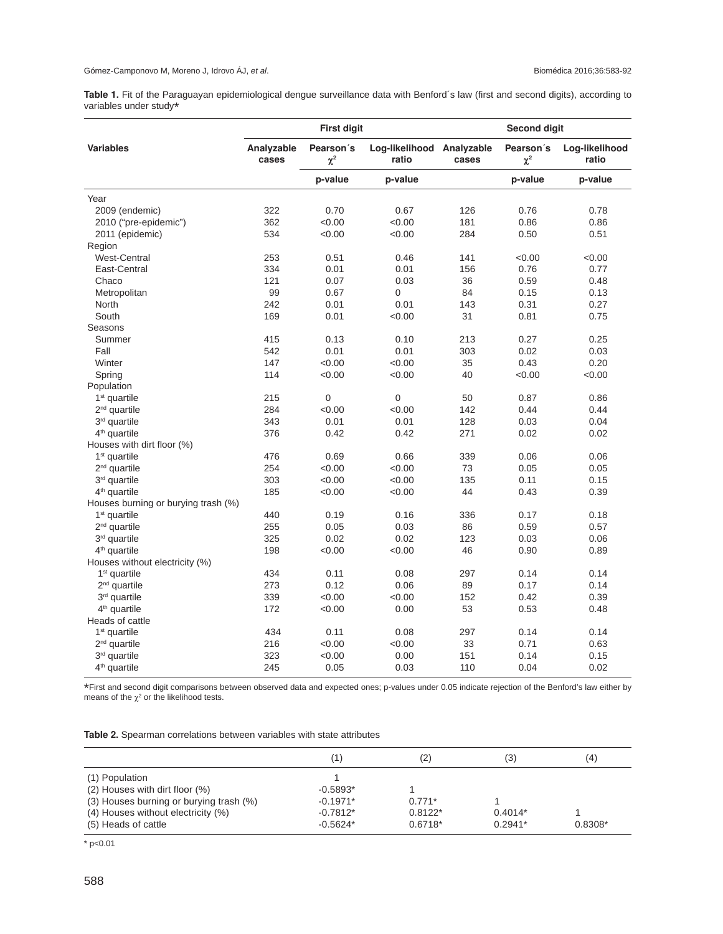## Gómez-Camponovo M, Moreno J, Idrovo ÁJ, *et al*. Biomédica 2016;36:583-92

**Table 1.** Fit of the Paraguayan epidemiological dengue surveillance data with Benford´s law (first and second digits), according to variables under study\*

|                                     | <b>First digit</b>  |                       |                                    | <b>Second digit</b> |                       |                         |
|-------------------------------------|---------------------|-----------------------|------------------------------------|---------------------|-----------------------|-------------------------|
| <b>Variables</b>                    | Analyzable<br>cases | Pearson's<br>$\chi^2$ | Log-likelihood Analyzable<br>ratio | cases               | Pearson's<br>$\chi^2$ | Log-likelihood<br>ratio |
|                                     |                     | p-value               | p-value                            |                     | p-value               | p-value                 |
| Year                                |                     |                       |                                    |                     |                       |                         |
| 2009 (endemic)                      | 322                 | 0.70                  | 0.67                               | 126                 | 0.76                  | 0.78                    |
| 2010 ("pre-epidemic")               | 362                 | <0.00                 | <0.00                              | 181                 | 0.86                  | 0.86                    |
| 2011 (epidemic)                     | 534                 | <0.00                 | < 0.00                             | 284                 | 0.50                  | 0.51                    |
| Region                              |                     |                       |                                    |                     |                       |                         |
| <b>West-Central</b>                 | 253                 | 0.51                  | 0.46                               | 141                 | <0.00                 | <0.00                   |
| East-Central                        | 334                 | 0.01                  | 0.01                               | 156                 | 0.76                  | 0.77                    |
| Chaco                               | 121                 | 0.07                  | 0.03                               | 36                  | 0.59                  | 0.48                    |
| Metropolitan                        | 99                  | 0.67                  | $\Omega$                           | 84                  | 0.15                  | 0.13                    |
| North                               | 242                 | 0.01                  | 0.01                               | 143                 | 0.31                  | 0.27                    |
| South                               | 169                 | 0.01                  | <0.00                              | 31                  | 0.81                  | 0.75                    |
| Seasons                             |                     |                       |                                    |                     |                       |                         |
| Summer                              | 415                 | 0.13                  | 0.10                               | 213                 | 0.27                  | 0.25                    |
| Fall                                | 542                 | 0.01                  | 0.01                               | 303                 | 0.02                  | 0.03                    |
| Winter                              | 147                 | <0.00                 | < 0.00                             | 35                  | 0.43                  | 0.20                    |
| Spring<br>Population                | 114                 | <0.00                 | <0.00                              | 40                  | <0.00                 | <0.00                   |
| $1st$ quartile                      | 215                 | $\overline{0}$        | $\mathbf 0$                        | 50                  | 0.87                  | 0.86                    |
| 2 <sup>nd</sup> quartile            | 284                 | <0.00                 | <0.00                              | 142                 | 0.44                  | 0.44                    |
| 3rd quartile                        | 343                 | 0.01                  | 0.01                               | 128                 | 0.03                  | 0.04                    |
| 4 <sup>th</sup> quartile            | 376                 | 0.42                  | 0.42                               | 271                 | 0.02                  | 0.02                    |
| Houses with dirt floor (%)          |                     |                       |                                    |                     |                       |                         |
| $1st$ quartile                      | 476                 | 0.69                  | 0.66                               | 339                 | 0.06                  | 0.06                    |
| 2 <sup>nd</sup> quartile            | 254                 | <0.00                 | <0.00                              | 73                  | 0.05                  | 0.05                    |
| 3 <sup>rd</sup> quartile            | 303                 | <0.00                 | <0.00                              | 135                 | 0.11                  | 0.15                    |
| 4 <sup>th</sup> quartile            | 185                 | <0.00                 | <0.00                              | 44                  | 0.43                  | 0.39                    |
| Houses burning or burying trash (%) |                     |                       |                                    |                     |                       |                         |
| $1st$ quartile                      | 440                 | 0.19                  | 0.16                               | 336                 | 0.17                  | 0.18                    |
| 2 <sup>nd</sup> quartile            | 255                 | 0.05                  | 0.03                               | 86                  | 0.59                  | 0.57                    |
| 3 <sup>rd</sup> quartile            | 325                 | 0.02                  | 0.02                               | 123                 | 0.03                  | 0.06                    |
| 4 <sup>th</sup> quartile            | 198                 | <0.00                 | < 0.00                             | 46                  | 0.90                  | 0.89                    |
| Houses without electricity (%)      |                     |                       |                                    |                     |                       |                         |
| 1 <sup>st</sup> quartile            | 434                 | 0.11                  | 0.08                               | 297                 | 0.14                  | 0.14                    |
| 2 <sup>nd</sup> quartile            | 273                 | 0.12                  | 0.06                               | 89                  | 0.17                  | 0.14                    |
| 3 <sup>rd</sup> quartile            | 339                 | <0.00                 | <0.00                              | 152                 | 0.42                  | 0.39                    |
| 4 <sup>th</sup> quartile            | 172                 | <0.00                 | 0.00                               | 53                  | 0.53                  | 0.48                    |
| Heads of cattle                     |                     |                       |                                    |                     |                       |                         |
| $1st$ quartile                      | 434                 | 0.11                  | 0.08                               | 297                 | 0.14                  | 0.14                    |
| 2 <sup>nd</sup> quartile            | 216                 | <0.00                 | <0.00                              | 33                  | 0.71                  | 0.63                    |
| 3 <sup>rd</sup> quartile            | 323                 | <0.00                 | 0.00                               | 151                 | 0.14                  | 0.15                    |
| 4 <sup>th</sup> quartile            | 245                 | 0.05                  | 0.03                               | 110                 | 0.04                  | 0.02                    |

\*First and second digit comparisons between observed data and expected ones; p-values under 0.05 indicate rejection of the Benford's law either by means of the  $\chi^2$  or the likelihood tests.

**Table 2.** Spearman correlations between variables with state attributes

|                                         | (1)        | (2)       | (3)       | (4)     |
|-----------------------------------------|------------|-----------|-----------|---------|
| (1) Population                          |            |           |           |         |
| (2) Houses with dirt floor (%)          | $-0.5893*$ |           |           |         |
| (3) Houses burning or burying trash (%) | $-0.1971*$ | $0.771*$  |           |         |
| (4) Houses without electricity (%)      | $-0.7812*$ | $0.8122*$ | $0.4014*$ |         |
| (5) Heads of cattle                     | $-0.5624*$ | $0.6718*$ | $0.2941*$ | 0.8308* |

 $*$  p<0.01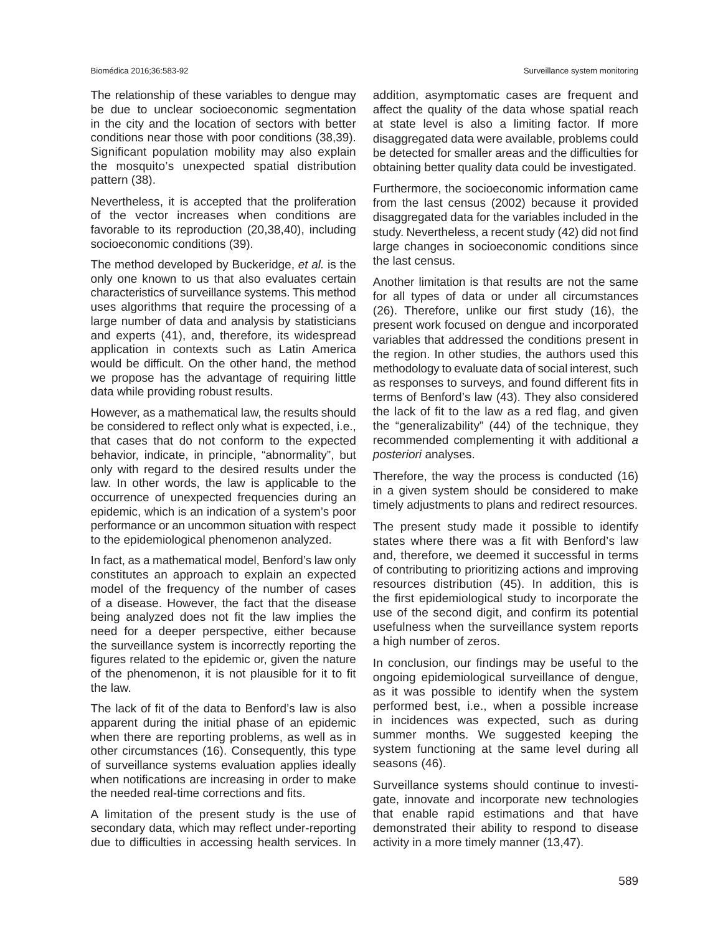The relationship of these variables to dengue may be due to unclear socioeconomic segmentation in the city and the location of sectors with better conditions near those with poor conditions (38,39). Significant population mobility may also explain the mosquito's unexpected spatial distribution pattern (38).

Nevertheless, it is accepted that the proliferation of the vector increases when conditions are favorable to its reproduction (20,38,40), including socioeconomic conditions (39).

The method developed by Buckeridge, *et al.* is the only one known to us that also evaluates certain characteristics of surveillance systems. This method uses algorithms that require the processing of a large number of data and analysis by statisticians and experts (41), and, therefore, its widespread application in contexts such as Latin America would be difficult. On the other hand, the method we propose has the advantage of requiring little data while providing robust results.

However, as a mathematical law, the results should be considered to reflect only what is expected, i.e., that cases that do not conform to the expected behavior, indicate, in principle, "abnormality", but only with regard to the desired results under the law. In other words, the law is applicable to the occurrence of unexpected frequencies during an epidemic, which is an indication of a system's poor performance or an uncommon situation with respect to the epidemiological phenomenon analyzed.

In fact, as a mathematical model, Benford's law only constitutes an approach to explain an expected model of the frequency of the number of cases of a disease. However, the fact that the disease being analyzed does not fit the law implies the need for a deeper perspective, either because the surveillance system is incorrectly reporting the figures related to the epidemic or, given the nature of the phenomenon, it is not plausible for it to fit the law.

The lack of fit of the data to Benford's law is also apparent during the initial phase of an epidemic when there are reporting problems, as well as in other circumstances (16). Consequently, this type of surveillance systems evaluation applies ideally when notifications are increasing in order to make the needed real-time corrections and fits.

A limitation of the present study is the use of secondary data, which may reflect under-reporting due to difficulties in accessing health services. In

addition, asymptomatic cases are frequent and affect the quality of the data whose spatial reach at state level is also a limiting factor. If more disaggregated data were available, problems could be detected for smaller areas and the difficulties for obtaining better quality data could be investigated.

Furthermore, the socioeconomic information came from the last census (2002) because it provided disaggregated data for the variables included in the study. Nevertheless, a recent study (42) did not find large changes in socioeconomic conditions since the last census.

Another limitation is that results are not the same for all types of data or under all circumstances (26). Therefore, unlike our first study (16), the present work focused on dengue and incorporated variables that addressed the conditions present in the region. In other studies, the authors used this methodology to evaluate data of social interest, such as responses to surveys, and found different fits in terms of Benford's law (43). They also considered the lack of fit to the law as a red flag, and given the "generalizability" (44) of the technique, they recommended complementing it with additional *a posteriori* analyses.

Therefore, the way the process is conducted (16) in a given system should be considered to make timely adjustments to plans and redirect resources.

The present study made it possible to identify states where there was a fit with Benford's law and, therefore, we deemed it successful in terms of contributing to prioritizing actions and improving resources distribution (45). In addition, this is the first epidemiological study to incorporate the use of the second digit, and confirm its potential usefulness when the surveillance system reports a high number of zeros.

In conclusion, our findings may be useful to the ongoing epidemiological surveillance of dengue, as it was possible to identify when the system performed best, i.e., when a possible increase in incidences was expected, such as during summer months. We suggested keeping the system functioning at the same level during all seasons (46).

Surveillance systems should continue to investigate, innovate and incorporate new technologies that enable rapid estimations and that have demonstrated their ability to respond to disease activity in a more timely manner (13,47).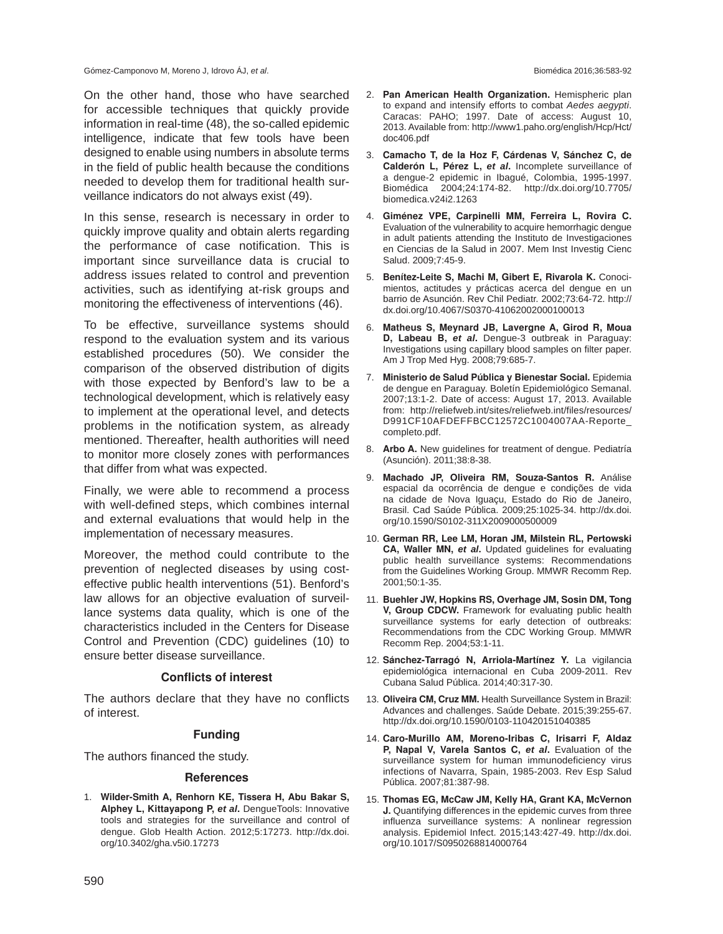On the other hand, those who have searched for accessible techniques that quickly provide information in real-time (48), the so-called epidemic intelligence, indicate that few tools have been designed to enable using numbers in absolute terms in the field of public health because the conditions needed to develop them for traditional health surveillance indicators do not always exist (49).

In this sense, research is necessary in order to quickly improve quality and obtain alerts regarding the performance of case notification. This is important since surveillance data is crucial to address issues related to control and prevention activities, such as identifying at-risk groups and monitoring the effectiveness of interventions (46).

To be effective, surveillance systems should respond to the evaluation system and its various established procedures (50). We consider the comparison of the observed distribution of digits with those expected by Benford's law to be a technological development, which is relatively easy to implement at the operational level, and detects problems in the notification system, as already mentioned. Thereafter, health authorities will need to monitor more closely zones with performances that differ from what was expected.

Finally, we were able to recommend a process with well-defined steps, which combines internal and external evaluations that would help in the implementation of necessary measures.

Moreover, the method could contribute to the prevention of neglected diseases by using costeffective public health interventions (51). Benford's law allows for an objective evaluation of surveillance systems data quality, which is one of the characteristics included in the Centers for Disease Control and Prevention (CDC) guidelines (10) to ensure better disease surveillance.

## **Conflicts of interest**

The authors declare that they have no conflicts of interest.

## **Funding**

The authors financed the study.

#### **References**

1. **Wilder-Smith A, Renhorn KE, Tissera H, Abu Bakar S, Alphey L, Kittayapong P,** *et al***.** DengueTools: Innovative tools and strategies for the surveillance and control of dengue. Glob Health Action. 2012;5:17273. http://dx.doi. org/10.3402/gha.v5i0.17273

- 2. **Pan American Health Organization.** Hemispheric plan to expand and intensify efforts to combat *Aedes aegypti*. Caracas: PAHO; 1997. Date of access: August 10, 2013. Available from: http://www1.paho.org/english/Hcp/Hct/ doc406.pdf
- 3. **Camacho T, de la Hoz F, Cárdenas V, Sánchez C, de Calderón L, Pérez L,** *et al***.** Incomplete surveillance of a dengue-2 epidemic in Ibagué, Colombia, 1995-1997. Biomédica 2004;24:174-82. http://dx.doi.org/10.7705/ biomedica.v24i2.1263
- 4. **Giménez VPE, Carpinelli MM, Ferreira L, Rovira C.** Evaluation of the vulnerability to acquire hemorrhagic dengue in adult patients attending the Instituto de Investigaciones en Ciencias de la Salud in 2007. Mem Inst Investig Cienc Salud. 2009;7:45-9.
- 5. **Benítez-Leite S, Machi M, Gibert E, Rivarola K.** Conocimientos, actitudes y prácticas acerca del dengue en un barrio de Asunción. Rev Chil Pediatr. 2002;73:64-72. http:// dx.doi.org/10.4067/S0370-41062002000100013
- 6. **Matheus S, Meynard JB, Lavergne A, Girod R, Moua D, Labeau B,** *et al***.** Dengue-3 outbreak in Paraguay: Investigations using capillary blood samples on filter paper. Am J Trop Med Hyg. 2008;79:685-7.
- 7. **Ministerio de Salud Pública y Bienestar Social.** Epidemia de dengue en Paraguay. Boletín Epidemiológico Semanal. 2007;13:1-2. Date of access: August 17, 2013. Available from: http://reliefweb.int/sites/reliefweb.int/files/resources/ D991CF10AFDEFFBCC12572C1004007AA-Reporte\_ completo.pdf.
- 8. **Arbo A.** New guidelines for treatment of dengue. Pediatría (Asunción). 2011;38:8-38.
- 9. **Machado JP, Oliveira RM, Souza-Santos R.** Análise espacial da ocorrência de dengue e condições de vida na cidade de Nova Iguaçu, Estado do Rio de Janeiro, Brasil. Cad Saúde Pública. 2009;25:1025-34. http://dx.doi. org/10.1590/S0102-311X2009000500009
- 10. **German RR, Lee LM, Horan JM, Milstein RL, Pertowski CA, Waller MN,** *et al***.** Updated guidelines for evaluating public health surveillance systems: Recommendations from the Guidelines Working Group. MMWR Recomm Rep. 2001;50:1-35.
- 11. **Buehler JW, Hopkins RS, Overhage JM, Sosin DM, Tong V, Group CDCW.** Framework for evaluating public health surveillance systems for early detection of outbreaks: Recommendations from the CDC Working Group. MMWR Recomm Rep. 2004;53:1-11.
- 12. **Sánchez-Tarragó N, Arriola-Martínez Y.** La vigilancia epidemiológica internacional en Cuba 2009-2011. Rev Cubana Salud Pública. 2014;40:317-30.
- 13. **Oliveira CM, Cruz MM.** Health Surveillance System in Brazil: Advances and challenges. Saúde Debate. 2015;39:255-67. http://dx.doi.org/10.1590/0103-110420151040385
- 14. **Caro-Murillo AM, Moreno-Iribas C, Irisarri F, Aldaz P, Napal V, Varela Santos C,** *et al***.** Evaluation of the surveillance system for human immunodeficiency virus infections of Navarra, Spain, 1985-2003. Rev Esp Salud Pública. 2007;81:387-98.
- 15. **Thomas EG, McCaw JM, Kelly HA, Grant KA, McVernon J.** Quantifying differences in the epidemic curves from three influenza surveillance systems: A nonlinear regression analysis. Epidemiol Infect. 2015;143:427-49. http://dx.doi. org/10.1017/S0950268814000764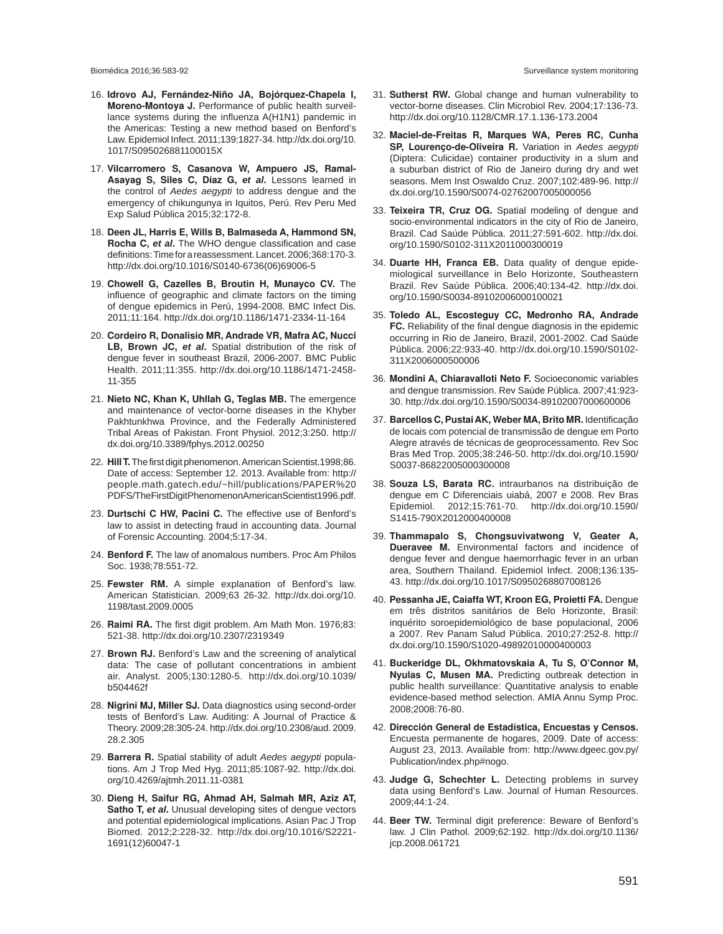- 16. **Idrovo AJ, Fernández-Niño JA, Bojórquez-Chapela I, Moreno-Montoya J.** Performance of public health surveillance systems during the influenza A(H1N1) pandemic in the Americas: Testing a new method based on Benford's Law. Epidemiol Infect. 2011;139:1827-34. http://dx.doi.org/10. 1017/S095026881100015X
- 17. **Vilcarromero S, Casanova W, Ampuero JS, Ramal-Asayag S, Siles C, Díaz G,** *et al***.** Lessons learned in the control of *Aedes aegypti* to address dengue and the emergency of chikungunya in Iquitos, Perú. Rev Peru Med Exp Salud Pública 2015;32:172-8.
- 18. **Deen JL, Harris E, Wills B, Balmaseda A, Hammond SN, Rocha C,** *et al***.** The WHO dengue classification and case definitions: Time for a reassessment. Lancet. 2006;368:170-3. http://dx.doi.org/10.1016/S0140-6736(06)69006-5
- 19. **Chowell G, Cazelles B, Broutin H, Munayco CV.** The influence of geographic and climate factors on the timing of dengue epidemics in Perú, 1994-2008. BMC Infect Dis. 2011;11:164. http://dx.doi.org/10.1186/1471-2334-11-164
- 20. **Cordeiro R, Donalisio MR, Andrade VR, Mafra AC, Nucci LB, Brown JC,** *et al***.** Spatial distribution of the risk of dengue fever in southeast Brazil, 2006-2007. BMC Public Health. 2011;11:355. http://dx.doi.org/10.1186/1471-2458- 11-355
- 21. **Nieto NC, Khan K, Uhllah G, Teglas MB.** The emergence and maintenance of vector-borne diseases in the Khyber Pakhtunkhwa Province, and the Federally Administered Tribal Areas of Pakistan. Front Physiol. 2012;3:250. http:// dx.doi.org/10.3389/fphys.2012.00250
- 22. **Hill T.** The first digit phenomenon. American Scientist.1998;86. Date of access: September 12. 2013. Available from: http:// people.math.gatech.edu/~hill/publications/PAPER%20 PDFS/TheFirstDigitPhenomenonAmericanScientist1996.pdf.
- 23. **Durtschi C HW, Pacini C.** The effective use of Benford's law to assist in detecting fraud in accounting data. Journal of Forensic Accounting. 2004;5:17-34.
- 24. **Benford F.** The law of anomalous numbers. Proc Am Philos Soc. 1938;78:551-72.
- 25. **Fewster RM.** A simple explanation of Benford's law. American Statistician. 2009;63 26-32. http://dx.doi.org/10. 1198/tast.2009.0005
- 26. **Raimi RA.** The first digit problem. Am Math Mon. 1976;83: 521-38. http://dx.doi.org/10.2307/2319349
- 27. **Brown RJ.** Benford's Law and the screening of analytical data: The case of pollutant concentrations in ambient air. Analyst. 2005;130:1280-5. http://dx.doi.org/10.1039/ b504462f
- 28. **Nigrini MJ, Miller SJ.** Data diagnostics using second-order tests of Benford's Law. Auditing: A Journal of Practice & Theory. 2009;28:305-24. http://dx.doi.org/10.2308/aud. 2009. 28.2.305
- 29. **Barrera R.** Spatial stability of adult *Aedes aegypti* populations. Am J Trop Med Hyg. 2011;85:1087-92. http://dx.doi. org/10.4269/ajtmh.2011.11-0381
- 30. **Dieng H, Saifur RG, Ahmad AH, Salmah MR, Aziz AT, Satho T,** *et al***.** Unusual developing sites of dengue vectors and potential epidemiological implications. Asian Pac J Trop Biomed. 2012;2:228-32. http://dx.doi.org/10.1016/S2221- 1691(12)60047-1
- 31. **Sutherst RW.** Global change and human vulnerability to vector-borne diseases. Clin Microbiol Rev. 2004;17:136-73. http://dx.doi.org/10.1128/CMR.17.1.136-173.2004
- 32. **Maciel-de-Freitas R, Marques WA, Peres RC, Cunha SP, Lourenço-de-Oliveira R.** Variation in *Aedes aegypti* (Diptera: Culicidae) container productivity in a slum and a suburban district of Rio de Janeiro during dry and wet seasons. Mem Inst Oswaldo Cruz. 2007;102:489-96. http:// dx.doi.org/10.1590/S0074-02762007005000056
- 33. **Teixeira TR, Cruz OG.** Spatial modeling of dengue and socio-environmental indicators in the city of Rio de Janeiro, Brazil. Cad Saúde Pública. 2011;27:591-602. http://dx.doi. org/10.1590/S0102-311X2011000300019
- 34. **Duarte HH, Franca EB.** Data quality of dengue epidemiological surveillance in Belo Horizonte, Southeastern Brazil. Rev Saúde Pública. 2006;40:134-42. http://dx.doi. org/10.1590/S0034-89102006000100021
- 35. **Toledo AL, Escosteguy CC, Medronho RA, Andrade FC.** Reliability of the final dengue diagnosis in the epidemic occurring in Rio de Janeiro, Brazil, 2001-2002. Cad Saúde Pública. 2006;22:933-40. http://dx.doi.org/10.1590/S0102- 311X2006000500006
- 36. **Mondini A, Chiaravalloti Neto F.** Socioeconomic variables and dengue transmission. Rev Saúde Pública. 2007;41:923- 30. http://dx.doi.org/10.1590/S0034-89102007000600006
- 37. **Barcellos C, Pustai AK, Weber MA, Brito MR.** Identificação de locais com potencial de transmissão de dengue em Porto Alegre através de técnicas de geoprocessamento. Rev Soc Bras Med Trop. 2005;38:246-50. http://dx.doi.org/10.1590/ S0037-86822005000300008
- 38. **Souza LS, Barata RC.** intraurbanos na distribuição de dengue em C Diferenciais uiabá, 2007 e 2008. Rev Bras Epidemiol. 2012;15:761-70. http://dx.doi.org/10.1590/ S1415-790X2012000400008
- 39. **Thammapalo S, Chongsuvivatwong V, Geater A, Dueravee M.** Environmental factors and incidence of dengue fever and dengue haemorrhagic fever in an urban area, Southern Thailand. Epidemiol Infect. 2008;136:135- 43. http://dx.doi.org/10.1017/S0950268807008126
- 40. **Pessanha JE, Caiaffa WT, Kroon EG, Proietti FA.** Dengue em três distritos sanitários de Belo Horizonte, Brasil: inquérito soroepidemiológico de base populacional, 2006 a 2007. Rev Panam Salud Pública. 2010;27:252-8. http:// dx.doi.org/10.1590/S1020-49892010000400003
- 41. **Buckeridge DL, Okhmatovskaia A, Tu S, O'Connor M, Nyulas C, Musen MA.** Predicting outbreak detection in public health surveillance: Quantitative analysis to enable evidence-based method selection. AMIA Annu Symp Proc. 2008;2008:76-80.
- 42. **Dirección General de Estadística, Encuestas y Censos.** Encuesta permanente de hogares, 2009. Date of access: August 23, 2013. Available from: http://www.dgeec.gov.py/ Publication/index.php#nogo.
- 43. **Judge G, Schechter L.** Detecting problems in survey data using Benford's Law. Journal of Human Resources. 2009;44:1-24.
- 44. **Beer TW.** Terminal digit preference: Beware of Benford's law. J Clin Pathol. 2009;62:192. http://dx.doi.org/10.1136/ jcp.2008.061721